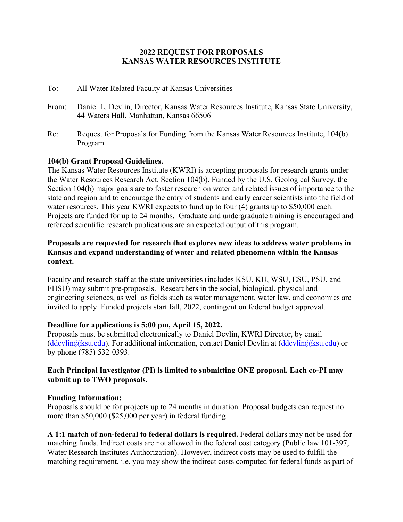### **2022 REQUEST FOR PROPOSALS KANSAS WATER RESOURCES INSTITUTE**

- To: All Water Related Faculty at Kansas Universities
- From: Daniel L. Devlin, Director, Kansas Water Resources Institute, Kansas State University, 44 Waters Hall, Manhattan, Kansas 66506
- Re: Request for Proposals for Funding from the Kansas Water Resources Institute, 104(b) Program

#### **104(b) Grant Proposal Guidelines.**

The Kansas Water Resources Institute (KWRI) is accepting proposals for research grants under the Water Resources Research Act, Section 104(b). Funded by the U.S. Geological Survey, the Section 104(b) major goals are to foster research on water and related issues of importance to the state and region and to encourage the entry of students and early career scientists into the field of water resources. This year KWRI expects to fund up to four (4) grants up to \$50,000 each. Projects are funded for up to 24 months. Graduate and undergraduate training is encouraged and refereed scientific research publications are an expected output of this program.

### **Proposals are requested for research that explores new ideas to address water problems in Kansas and expand understanding of water and related phenomena within the Kansas context.**

Faculty and research staff at the state universities (includes KSU, KU, WSU, ESU, PSU, and FHSU) may submit pre-proposals. Researchers in the social, biological, physical and engineering sciences, as well as fields such as water management, water law, and economics are invited to apply. Funded projects start fall, 2022, contingent on federal budget approval.

#### **Deadline for applications is 5:00 pm, April 15, 2022.**

Proposals must be submitted electronically to Daniel Devlin, KWRI Director, by email (ddevlin@ksu.edu). For additional information, contact Daniel Devlin at (ddevlin@ksu.edu) or by phone (785) 532-0393.

# **Each Principal Investigator (PI) is limited to submitting ONE proposal. Each co-PI may submit up to TWO proposals.**

#### **Funding Information:**

Proposals should be for projects up to 24 months in duration. Proposal budgets can request no more than \$50,000 (\$25,000 per year) in federal funding.

**A 1:1 match of non-federal to federal dollars is required.** Federal dollars may not be used for matching funds. Indirect costs are not allowed in the federal cost category (Public law 101-397, Water Research Institutes Authorization). However, indirect costs may be used to fulfill the matching requirement, i.e. you may show the indirect costs computed for federal funds as part of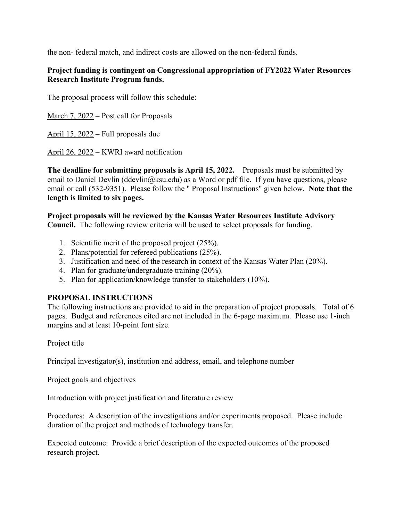the non- federal match, and indirect costs are allowed on the non-federal funds.

# **Project funding is contingent on Congressional appropriation of FY2022 Water Resources Research Institute Program funds.**

The proposal process will follow this schedule:

March 7, 2022 – Post call for Proposals

April 15, 2022 – Full proposals due

April 26, 2022 – KWRI award notification

**The deadline for submitting proposals is April 15, 2022.** Proposals must be submitted by email to Daniel Devlin (ddevlin@ksu.edu) as a Word or pdf file. If you have questions, please email or call (532-9351). Please follow the " Proposal Instructions" given below. **Note that the length is limited to six pages.**

**Project proposals will be reviewed by the Kansas Water Resources Institute Advisory Council.** The following review criteria will be used to select proposals for funding.

- 1. Scientific merit of the proposed project (25%).
- 2. Plans/potential for refereed publications (25%).
- 3. Justification and need of the research in context of the Kansas Water Plan (20%).
- 4. Plan for graduate/undergraduate training (20%).
- 5. Plan for application/knowledge transfer to stakeholders (10%).

# **PROPOSAL INSTRUCTIONS**

The following instructions are provided to aid in the preparation of project proposals. Total of 6 pages. Budget and references cited are not included in the 6-page maximum. Please use 1-inch margins and at least 10-point font size.

Project title

Principal investigator(s), institution and address, email, and telephone number

Project goals and objectives

Introduction with project justification and literature review

Procedures: A description of the investigations and/or experiments proposed. Please include duration of the project and methods of technology transfer.

Expected outcome: Provide a brief description of the expected outcomes of the proposed research project.